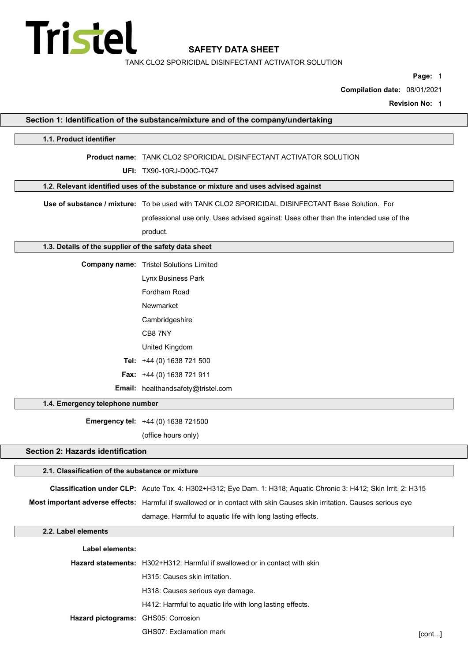

TANK CLO2 SPORICIDAL DISINFECTANT ACTIVATOR SOLUTION

Page: 1

Compilation date: 08/01/2021

Revision No: 1

| Section 1: Identification of the substance/mixture and of the company/undertaking |                                                                                                                         |        |
|-----------------------------------------------------------------------------------|-------------------------------------------------------------------------------------------------------------------------|--------|
| 1.1. Product identifier                                                           |                                                                                                                         |        |
|                                                                                   | Product name: TANK CLO2 SPORICIDAL DISINFECTANT ACTIVATOR SOLUTION                                                      |        |
|                                                                                   | UFI: TX90-10RJ-D00C-TQ47                                                                                                |        |
|                                                                                   | 1.2. Relevant identified uses of the substance or mixture and uses advised against                                      |        |
|                                                                                   | Use of substance / mixture: To be used with TANK CLO2 SPORICIDAL DISINFECTANT Base Solution. For                        |        |
|                                                                                   | professional use only. Uses advised against: Uses other than the intended use of the                                    |        |
|                                                                                   | product.                                                                                                                |        |
| 1.3. Details of the supplier of the safety data sheet                             |                                                                                                                         |        |
|                                                                                   | <b>Company name:</b> Tristel Solutions Limited                                                                          |        |
|                                                                                   | Lynx Business Park                                                                                                      |        |
|                                                                                   | Fordham Road                                                                                                            |        |
|                                                                                   | Newmarket                                                                                                               |        |
|                                                                                   | Cambridgeshire                                                                                                          |        |
|                                                                                   | CB8 7NY                                                                                                                 |        |
|                                                                                   | United Kingdom                                                                                                          |        |
|                                                                                   | Tel: +44 (0) 1638 721 500                                                                                               |        |
|                                                                                   | Fax: +44 (0) 1638 721 911                                                                                               |        |
|                                                                                   | Email: healthandsafety@tristel.com                                                                                      |        |
| 1.4. Emergency telephone number                                                   |                                                                                                                         |        |
|                                                                                   | Emergency tel: +44 (0) 1638 721500                                                                                      |        |
|                                                                                   | (office hours only)                                                                                                     |        |
| <b>Section 2: Hazards identification</b>                                          |                                                                                                                         |        |
| 2.1. Classification of the substance or mixture                                   |                                                                                                                         |        |
|                                                                                   | Classification under CLP: Acute Tox. 4: H302+H312; Eye Dam. 1: H318; Aquatic Chronic 3: H412; Skin Irrit. 2: H315       |        |
|                                                                                   | Most important adverse effects: Harmful if swallowed or in contact with skin Causes skin irritation. Causes serious eye |        |
|                                                                                   | damage. Harmful to aquatic life with long lasting effects.                                                              |        |
| 2.2. Label elements                                                               |                                                                                                                         |        |
| Label elements:                                                                   |                                                                                                                         |        |
|                                                                                   | <b>Hazard statements:</b> H302+H312: Harmful if swallowed or in contact with skin                                       |        |
|                                                                                   | H315: Causes skin irritation.                                                                                           |        |
|                                                                                   | H318: Causes serious eye damage.                                                                                        |        |
|                                                                                   | H412: Harmful to aquatic life with long lasting effects.                                                                |        |
| Hazard pictograms: GHS05: Corrosion                                               |                                                                                                                         |        |
|                                                                                   | GHS07: Exclamation mark                                                                                                 | [cont] |
|                                                                                   |                                                                                                                         |        |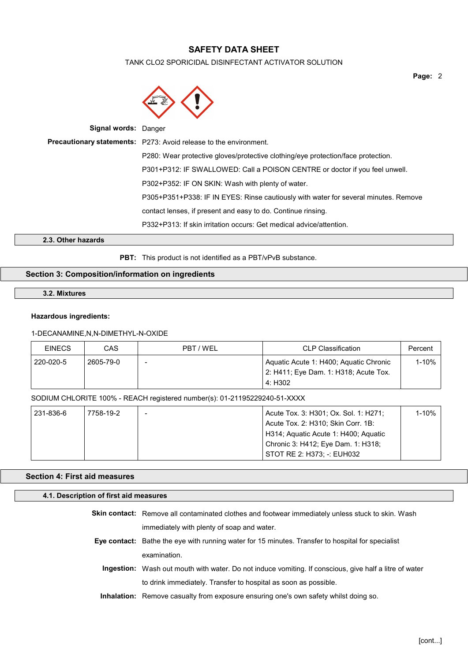# TANK CLO2 SPORICIDAL DISINFECTANT ACTIVATOR SOLUTION

| <b>Signal words: Danger</b> |                                                                                     |
|-----------------------------|-------------------------------------------------------------------------------------|
|                             | <b>Precautionary statements:</b> P273: Avoid release to the environment.            |
|                             | P280: Wear protective gloves/protective clothing/eye protection/face protection.    |
|                             | P301+P312: IF SWALLOWED: Call a POISON CENTRE or doctor if you feel unwell.         |
|                             | P302+P352: IF ON SKIN: Wash with plenty of water.                                   |
|                             | P305+P351+P338: IF IN EYES: Rinse cautiously with water for several minutes. Remove |
|                             | contact lenses, if present and easy to do. Continue rinsing.                        |
|                             | P332+P313: If skin irritation occurs: Get medical advice/attention.                 |
|                             |                                                                                     |

2.3. Other hazards

PBT: This product is not identified as a PBT/vPvB substance.

# Section 3: Composition/information on ingredients

## 3.2. Mixtures

# Hazardous ingredients:

# 1-DECANAMINE,N,N-DIMETHYL-N-OXIDE

| <b>EINECS</b> | CAS       | PBT / WEL | <b>CLP Classification</b>              | Percent    |
|---------------|-----------|-----------|----------------------------------------|------------|
| 220-020-5     | 2605-79-0 | -         | Aquatic Acute 1: H400; Aquatic Chronic | $1 - 10\%$ |
|               |           |           | 2: H411; Eye Dam. 1: H318; Acute Tox.  |            |
|               |           |           | 4: H302                                |            |

## SODIUM CHLORITE 100% - REACH registered number(s): 01-21195229240-51-XXXX

| 231-836-6 | 7758-19-2 | Acute Tox. 3: H301; Ox. Sol. 1: H271; | $1 - 10%$ |
|-----------|-----------|---------------------------------------|-----------|
|           |           | Acute Tox. 2: H310; Skin Corr. 1B:    |           |
|           |           | H314; Aquatic Acute 1: H400; Aquatic  |           |
|           |           | Chronic 3: H412; Eye Dam. 1: H318;    |           |
|           |           | STOT RE 2: H373: -: EUH032            |           |

# Section 4: First aid measures

## 4.1. Description of first aid measures

| <b>Skin contact:</b> Remove all contaminated clothes and footwear immediately unless stuck to skin. Wash |
|----------------------------------------------------------------------------------------------------------|
| immediately with plenty of soap and water.                                                               |
| Eye contact: Bathe the eye with running water for 15 minutes. Transfer to hospital for specialist        |
| examination.                                                                                             |
| Ingestion: Wash out mouth with water. Do not induce vomiting. If conscious, give half a litre of water   |
| to drink immediately. Transfer to hospital as soon as possible.                                          |

Inhalation: Remove casualty from exposure ensuring one's own safety whilst doing so.

Page: 2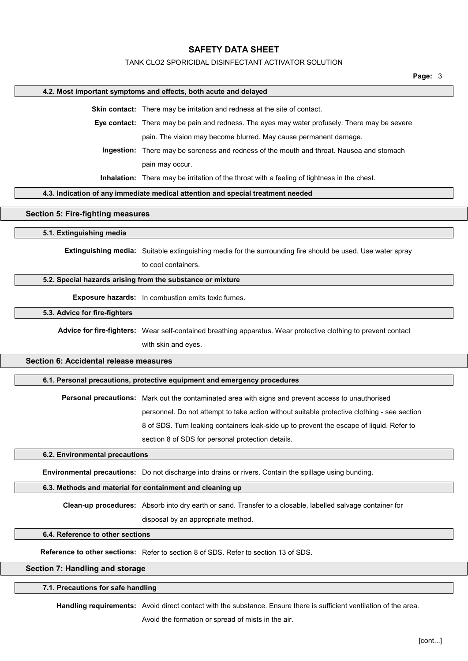# TANK CLO2 SPORICIDAL DISINFECTANT ACTIVATOR SOLUTION

|                                          | 4.2. Most important symptoms and effects, both acute and delayed                                               |
|------------------------------------------|----------------------------------------------------------------------------------------------------------------|
|                                          | Skin contact: There may be irritation and redness at the site of contact.                                      |
|                                          | Eye contact: There may be pain and redness. The eyes may water profusely. There may be severe                  |
|                                          | pain. The vision may become blurred. May cause permanent damage.                                               |
|                                          | Ingestion: There may be soreness and redness of the mouth and throat. Nausea and stomach                       |
|                                          | pain may occur.                                                                                                |
|                                          | Inhalation: There may be irritation of the throat with a feeling of tightness in the chest.                    |
|                                          | 4.3. Indication of any immediate medical attention and special treatment needed                                |
| <b>Section 5: Fire-fighting measures</b> |                                                                                                                |
| 5.1. Extinguishing media                 |                                                                                                                |
|                                          | Extinguishing media: Suitable extinguishing media for the surrounding fire should be used. Use water spray     |
|                                          | to cool containers.                                                                                            |
|                                          | 5.2. Special hazards arising from the substance or mixture                                                     |
|                                          |                                                                                                                |
|                                          | Exposure hazards: In combustion emits toxic fumes.                                                             |
| 5.3. Advice for fire-fighters            |                                                                                                                |
|                                          | Advice for fire-fighters: Wear self-contained breathing apparatus. Wear protective clothing to prevent contact |
|                                          | with skin and eyes.                                                                                            |
| Section 6: Accidental release measures   |                                                                                                                |
|                                          | 6.1. Personal precautions, protective equipment and emergency procedures                                       |
|                                          | Personal precautions: Mark out the contaminated area with signs and prevent access to unauthorised             |
|                                          | personnel. Do not attempt to take action without suitable protective clothing - see section                    |
|                                          | 8 of SDS. Turn leaking containers leak-side up to prevent the escape of liquid. Refer to                       |
|                                          | section 8 of SDS for personal protection details.                                                              |
| 6.2. Environmental precautions           |                                                                                                                |
|                                          | Environmental precautions: Do not discharge into drains or rivers. Contain the spillage using bunding.         |
|                                          | 6.3. Methods and material for containment and cleaning up                                                      |
|                                          | Clean-up procedures: Absorb into dry earth or sand. Transfer to a closable, labelled salvage container for     |
|                                          | disposal by an appropriate method.                                                                             |
| 6.4. Reference to other sections         |                                                                                                                |
|                                          | <b>Reference to other sections:</b> Refer to section 8 of SDS, Refer to section 13 of SDS.                     |
| Section 7: Handling and storage          |                                                                                                                |
| 7.1. Precautions for safe handling       |                                                                                                                |
|                                          |                                                                                                                |

autions for sate h<u>andling</u>

Handling requirements: Avoid direct contact with the substance. Ensure there is sufficient ventilation of the area.

Avoid the formation or spread of mists in the air.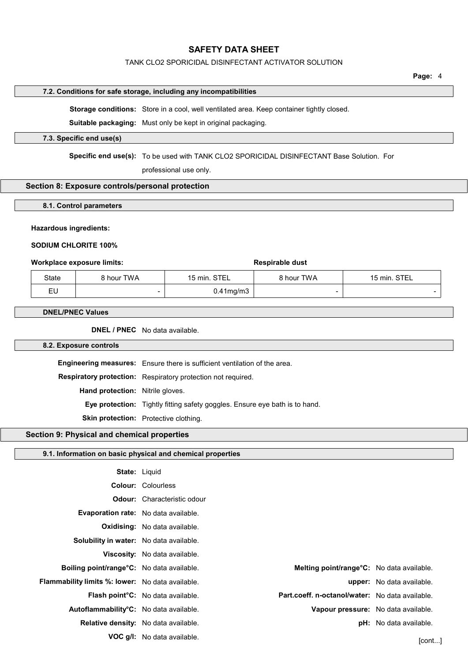## TANK CLO2 SPORICIDAL DISINFECTANT ACTIVATOR SOLUTION

#### 7.2. Conditions for safe storage, including any incompatibilities

Storage conditions: Store in a cool, well ventilated area. Keep container tightly closed.

Suitable packaging: Must only be kept in original packaging.

## 7.3. Specific end use(s)

Specific end use(s): To be used with TANK CLO2 SPORICIDAL DISINFECTANT Base Solution. For

professional use only.

# Section 8: Exposure controls/personal protection

8.1. Control parameters

### Hazardous ingredients:

SODIUM CHLORITE 100%

## Workplace exposure limits: Workplace exposure limits:

| State | 8 hour TWA | 15 min. STEL    | 8 hour TWA | 15 min. STEL |
|-------|------------|-----------------|------------|--------------|
| cu    |            | $0.41$ mg/m $3$ |            |              |

#### DNEL/PNEC Values

DNEL / PNEC No data available.

#### 8.2. Exposure controls

Engineering measures: Ensure there is sufficient ventilation of the area. Respiratory protection: Respiratory protection not required. Hand protection: Nitrile gloves. Eye protection: Tightly fitting safety goggles. Ensure eye bath is to hand. Skin protection: Protective clothing.

# Section 9: Physical and chemical properties

#### 9.1. Information on basic physical and chemical properties

| <b>State: Liguid</b>                                        |                                                |                                                  |                                  |
|-------------------------------------------------------------|------------------------------------------------|--------------------------------------------------|----------------------------------|
|                                                             | <b>Colour: Colourless</b>                      |                                                  |                                  |
|                                                             | <b>Odour:</b> Characteristic odour             |                                                  |                                  |
| Evaporation rate: No data available.                        |                                                |                                                  |                                  |
|                                                             | <b>Oxidising:</b> No data available.           |                                                  |                                  |
| <b>Solubility in water:</b> No data available.              |                                                |                                                  |                                  |
|                                                             | <b>Viscosity:</b> No data available.           |                                                  |                                  |
| <b>Boiling point/range<sup>o</sup>C:</b> No data available. |                                                | <b>Melting point/range°C:</b> No data available. |                                  |
| <b>Flammability limits %: lower:</b> No data available.     |                                                |                                                  | <b>upper:</b> No data available. |
|                                                             | Flash point <sup>o</sup> C: No data available. | Part.coeff. n-octanol/water: No data available.  |                                  |
| Autoflammability <sup>o</sup> C: No data available.         |                                                | Vapour pressure: No data available.              |                                  |
| Relative density: No data available.                        |                                                |                                                  | <b>pH:</b> No data available.    |
|                                                             | <b>VOC g/l:</b> No data available.             |                                                  | [cont]                           |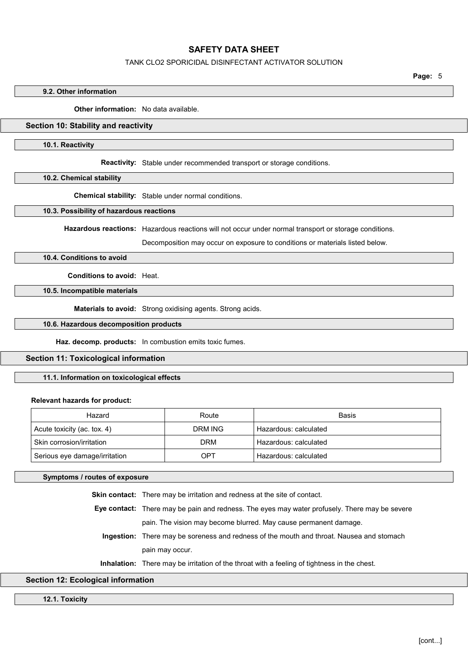## TANK CLO2 SPORICIDAL DISINFECTANT ACTIVATOR SOLUTION

Page: 5

#### 9.2. Other information

Other information: No data available

# Section 10: Stability and reactivity

10.1. Reactivity

Reactivity: Stable under recommended transport or storage conditions.

10.2. Chemical stability

Chemical stability: Stable under normal conditions.

## 10.3. Possibility of hazardous reactions

Hazardous reactions: Hazardous reactions will not occur under normal transport or storage conditions.

Decomposition may occur on exposure to conditions or materials listed below.

10.4. Conditions to avoid

Conditions to avoid: Heat.

10.5. Incompatible materials

Materials to avoid: Strong oxidising agents. Strong acids.

### 10.6. Hazardous decomposition products

Haz. decomp. products: In combustion emits toxic fumes.

## Section 11: Toxicological information

# 11.1. Information on toxicological effects

#### Relevant hazards for product:

| Hazard                        | Route      | Basis                 |
|-------------------------------|------------|-----------------------|
| Acute toxicity (ac. tox. 4)   | DRM ING    | Hazardous: calculated |
| Skin corrosion/irritation     | <b>DRM</b> | Hazardous: calculated |
| Serious eye damage/irritation | OPT        | Hazardous: calculated |

Symptoms / routes of exposure

Skin contact: There may be irritation and redness at the site of contact.

Eye contact: There may be pain and redness. The eyes may water profusely. There may be severe pain. The vision may become blurred. May cause permanent damage.

Ingestion: There may be soreness and redness of the mouth and throat. Nausea and stomach pain may occur.

Inhalation: There may be irritation of the throat with a feeling of tightness in the chest.

## Section 12: Ecological information

12.1. Toxicity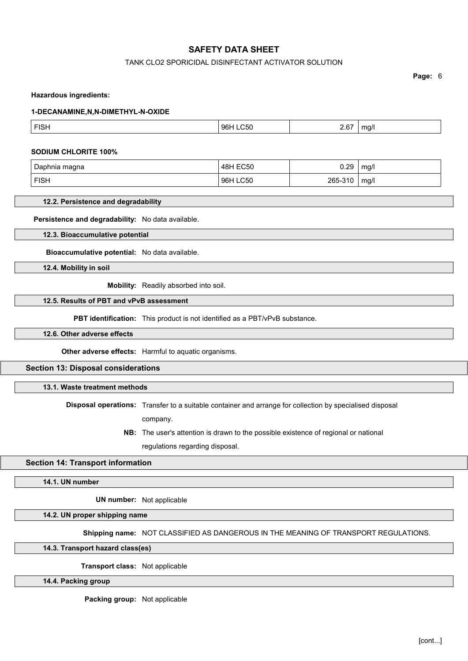## TANK CLO2 SPORICIDAL DISINFECTANT ACTIVATOR SOLUTION

Page: 6

#### Hazardous ingredients:

#### 1-DECANAMINE,N,N-DIMETHYL-N-OXIDE

| $\sim$ $\sim$ $\sim$ $\sim$ $\sim$ | F(0)<br>FISH | ୍ରଧ | $\sim$<br>n, | $\sim$ |
|------------------------------------|--------------|-----|--------------|--------|
|------------------------------------|--------------|-----|--------------|--------|

#### SODIUM CHLORITE 100%

| Daphnia magna | 48H EC50 | 0.29    | mg/l |
|---------------|----------|---------|------|
| <b>FISH</b>   | 96H LC50 | 265-310 | ma/l |

# 12.2. Persistence and degradability

Persistence and degradability: No data available.

12.3. Bioaccumulative potential

Bioaccumulative potential: No data available.

12.4. Mobility in soil

Mobility: Readily absorbed into soil.

# 12.5. Results of PBT and vPvB assessment

PBT identification: This product is not identified as a PBT/vPvB substance.

## 12.6. Other adverse effects

Other adverse effects: Harmful to aquatic organisms.

#### Section 13: Disposal considerations

# 13.1. Waste treatment methods

Disposal operations: Transfer to a suitable container and arrange for collection by specialised disposal

company.

NB: The user's attention is drawn to the possible existence of regional or national regulations regarding disposal.

### Section 14: Transport information

### 14.1. UN number

UN number: Not applicable

14.2. UN proper shipping name

Shipping name: NOT CLASSIFIED AS DANGEROUS IN THE MEANING OF TRANSPORT REGULATIONS.

14.3. Transport hazard class(es)

Transport class: Not applicable

## 14.4. Packing group

Packing group: Not applicable